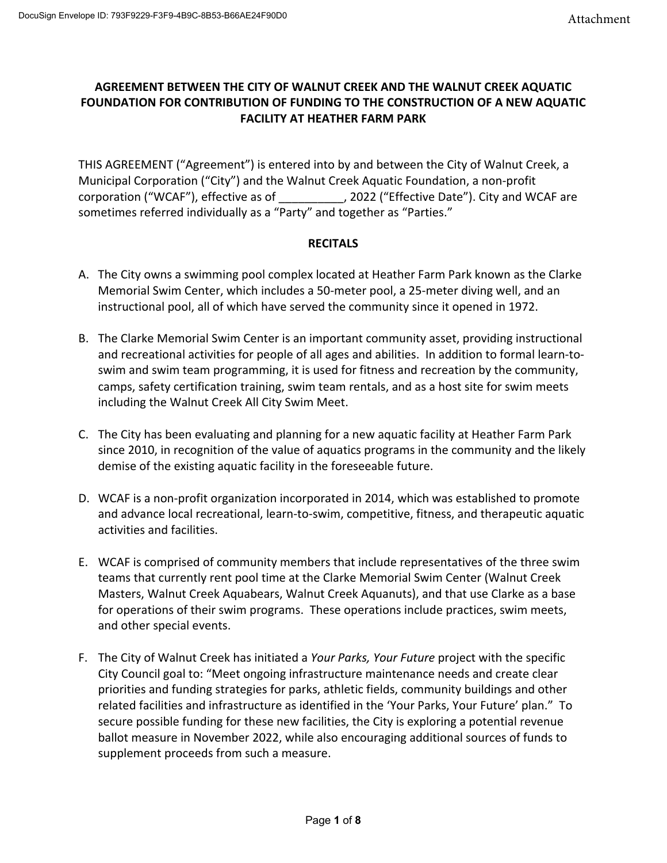## **AGREEMENT BETWEEN THE CITY OF WALNUT CREEK AND THE WALNUT CREEK AQUATIC FOUNDATION FOR CONTRIBUTION OF FUNDING TO THE CONSTRUCTION OF A NEW AQUATIC FACILITY AT HEATHER FARM PARK**

THIS AGREEMENT ("Agreement") is entered into by and between the City of Walnut Creek, a Municipal Corporation ("City") and the Walnut Creek Aquatic Foundation, a non-profit corporation ("WCAF"), effective as of  $\qquad \qquad$ , 2022 ("Effective Date"). City and WCAF are sometimes referred individually as a "Party" and together as "Parties."

### **RECITALS**

- A. The City owns a swimming pool complex located at Heather Farm Park known as the Clarke Memorial Swim Center, which includes a 50-meter pool, a 25-meter diving well, and an instructional pool, all of which have served the community since it opened in 1972.
- B. The Clarke Memorial Swim Center is an important community asset, providing instructional and recreational activities for people of all ages and abilities. In addition to formal learn-toswim and swim team programming, it is used for fitness and recreation by the community, camps, safety certification training, swim team rentals, and as a host site for swim meets including the Walnut Creek All City Swim Meet.
- C. The City has been evaluating and planning for a new aquatic facility at Heather Farm Park since 2010, in recognition of the value of aquatics programs in the community and the likely demise of the existing aquatic facility in the foreseeable future.
- D. WCAF is a non-profit organization incorporated in 2014, which was established to promote and advance local recreational, learn-to-swim, competitive, fitness, and therapeutic aquatic activities and facilities.
- E. WCAF is comprised of community members that include representatives of the three swim teams that currently rent pool time at the Clarke Memorial Swim Center (Walnut Creek Masters, Walnut Creek Aquabears, Walnut Creek Aquanuts), and that use Clarke as a base for operations of their swim programs. These operations include practices, swim meets, and other special events.
- F. The City of Walnut Creek has initiated a *Your Parks, Your Future* project with the specific City Council goal to: "Meet ongoing infrastructure maintenance needs and create clear priorities and funding strategies for parks, athletic fields, community buildings and other related facilities and infrastructure as identified in the 'Your Parks, Your Future' plan." To secure possible funding for these new facilities, the City is exploring a potential revenue ballot measure in November 2022, while also encouraging additional sources of funds to supplement proceeds from such a measure.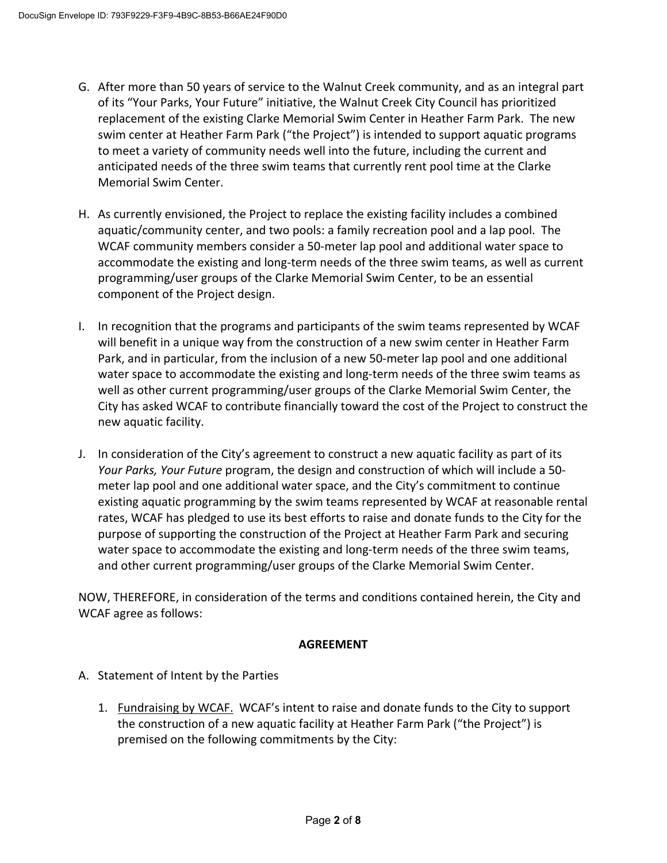- G. After more than 50 years of service to the Walnut Creek community, and as an integral part of its "Your Parks, Your Future" initiative, the Walnut Creek City Council has prioritized replacement of the existing Clarke Memorial Swim Center in Heather Farm Park. The new swim center at Heather Farm Park ("the Project") is intended to support aquatic programs to meet a variety of community needs well into the future, including the current and anticipated needs of the three swim teams that currently rent pool time at the Clarke Memorial Swim Center.
- H. As currently envisioned, the Project to replace the existing facility includes a combined aquatic/community center, and two pools: a family recreation pool and a lap pool. The WCAF community members consider a 50-meter lap pool and additional water space to accommodate the existing and long-term needs of the three swim teams, as well as current programming/user groups of the Clarke Memorial Swim Center, to be an essential component of the Project design.
- I. In recognition that the programs and participants of the swim teams represented by WCAF will benefit in a unique way from the construction of a new swim center in Heather Farm Park, and in particular, from the inclusion of a new 50-meter lap pool and one additional water space to accommodate the existing and long-term needs of the three swim teams as well as other current programming/user groups of the Clarke Memorial Swim Center, the City has asked WCAF to contribute financially toward the cost of the Project to construct the new aquatic facility.
- J. In consideration of the City's agreement to construct a new aquatic facility as part of its *Your Parks, Your Future* program, the design and construction of which will include a 50 meter lap pool and one additional water space, and the City's commitment to continue existing aquatic programming by the swim teams represented by WCAF at reasonable rental rates, WCAF has pledged to use its best efforts to raise and donate funds to the City for the purpose of supporting the construction of the Project at Heather Farm Park and securing water space to accommodate the existing and long-term needs of the three swim teams, and other current programming/user groups of the Clarke Memorial Swim Center.

NOW, THEREFORE, in consideration of the terms and conditions contained herein, the City and WCAF agree as follows:

## **AGREEMENT**

## A. Statement of Intent by the Parties

1. Fundraising by WCAF. WCAF's intent to raise and donate funds to the City to support the construction of a new aquatic facility at Heather Farm Park ("the Project") is premised on the following commitments by the City: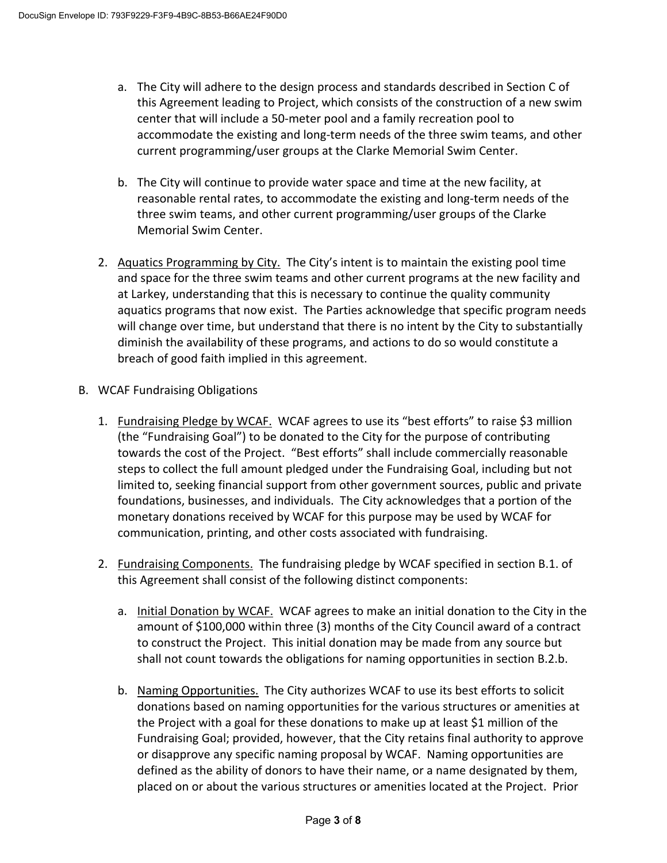- a. The City will adhere to the design process and standards described in Section C of this Agreement leading to Project, which consists of the construction of a new swim center that will include a 50-meter pool and a family recreation pool to accommodate the existing and long-term needs of the three swim teams, and other current programming/user groups at the Clarke Memorial Swim Center.
- b. The City will continue to provide water space and time at the new facility, at reasonable rental rates, to accommodate the existing and long-term needs of the three swim teams, and other current programming/user groups of the Clarke Memorial Swim Center.
- 2. Aquatics Programming by City. The City's intent is to maintain the existing pool time and space for the three swim teams and other current programs at the new facility and at Larkey, understanding that this is necessary to continue the quality community aquatics programs that now exist. The Parties acknowledge that specific program needs will change over time, but understand that there is no intent by the City to substantially diminish the availability of these programs, and actions to do so would constitute a breach of good faith implied in this agreement.
- B. WCAF Fundraising Obligations
	- 1. Fundraising Pledge by WCAF. WCAF agrees to use its "best efforts" to raise \$3 million (the "Fundraising Goal") to be donated to the City for the purpose of contributing towards the cost of the Project. "Best efforts" shall include commercially reasonable steps to collect the full amount pledged under the Fundraising Goal, including but not limited to, seeking financial support from other government sources, public and private foundations, businesses, and individuals. The City acknowledges that a portion of the monetary donations received by WCAF for this purpose may be used by WCAF for communication, printing, and other costs associated with fundraising.
	- 2. Fundraising Components. The fundraising pledge by WCAF specified in section B.1. of this Agreement shall consist of the following distinct components:
		- a. Initial Donation by WCAF. WCAF agrees to make an initial donation to the City in the amount of \$100,000 within three (3) months of the City Council award of a contract to construct the Project. This initial donation may be made from any source but shall not count towards the obligations for naming opportunities in section B.2.b.
		- b. Naming Opportunities. The City authorizes WCAF to use its best efforts to solicit donations based on naming opportunities for the various structures or amenities at the Project with a goal for these donations to make up at least \$1 million of the Fundraising Goal; provided, however, that the City retains final authority to approve or disapprove any specific naming proposal by WCAF. Naming opportunities are defined as the ability of donors to have their name, or a name designated by them, placed on or about the various structures or amenities located at the Project. Prior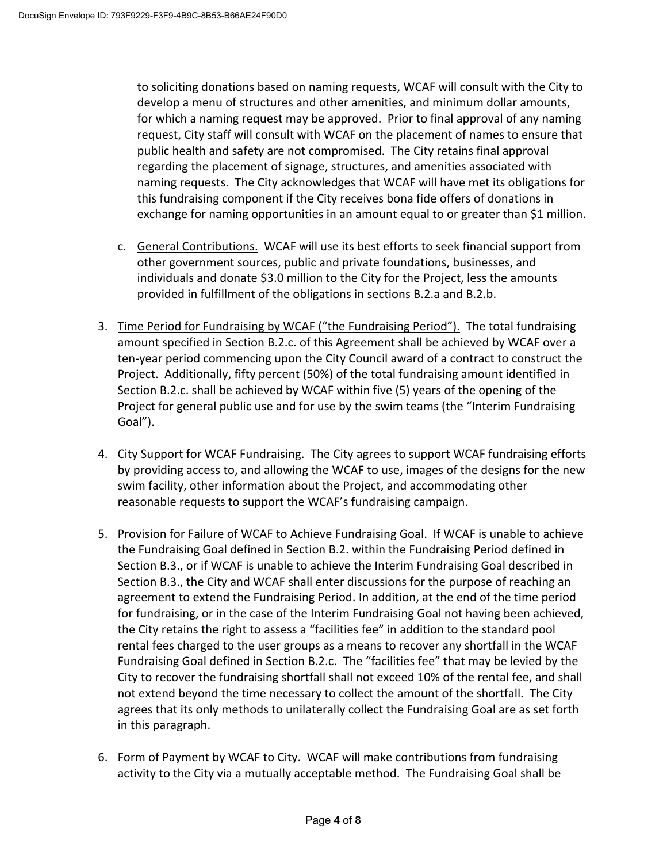to soliciting donations based on naming requests, WCAF will consult with the City to develop a menu of structures and other amenities, and minimum dollar amounts, for which a naming request may be approved. Prior to final approval of any naming request, City staff will consult with WCAF on the placement of names to ensure that public health and safety are not compromised. The City retains final approval regarding the placement of signage, structures, and amenities associated with naming requests. The City acknowledges that WCAF will have met its obligations for this fundraising component if the City receives bona fide offers of donations in exchange for naming opportunities in an amount equal to or greater than \$1 million.

- c. General Contributions. WCAF will use its best efforts to seek financial support from other government sources, public and private foundations, businesses, and individuals and donate \$3.0 million to the City for the Project, less the amounts provided in fulfillment of the obligations in sections B.2.a and B.2.b.
- 3. Time Period for Fundraising by WCAF ("the Fundraising Period"). The total fundraising amount specified in Section B.2.c. of this Agreement shall be achieved by WCAF over a ten-year period commencing upon the City Council award of a contract to construct the Project. Additionally, fifty percent (50%) of the total fundraising amount identified in Section B.2.c. shall be achieved by WCAF within five (5) years of the opening of the Project for general public use and for use by the swim teams (the "Interim Fundraising Goal").
- 4. City Support for WCAF Fundraising. The City agrees to support WCAF fundraising efforts by providing access to, and allowing the WCAF to use, images of the designs for the new swim facility, other information about the Project, and accommodating other reasonable requests to support the WCAF's fundraising campaign.
- 5. Provision for Failure of WCAF to Achieve Fundraising Goal. If WCAF is unable to achieve the Fundraising Goal defined in Section B.2. within the Fundraising Period defined in Section B.3., or if WCAF is unable to achieve the Interim Fundraising Goal described in Section B.3., the City and WCAF shall enter discussions for the purpose of reaching an agreement to extend the Fundraising Period. In addition, at the end of the time period for fundraising, or in the case of the Interim Fundraising Goal not having been achieved, the City retains the right to assess a "facilities fee" in addition to the standard pool rental fees charged to the user groups as a means to recover any shortfall in the WCAF Fundraising Goal defined in Section B.2.c. The "facilities fee" that may be levied by the City to recover the fundraising shortfall shall not exceed 10% of the rental fee, and shall not extend beyond the time necessary to collect the amount of the shortfall. The City agrees that its only methods to unilaterally collect the Fundraising Goal are as set forth in this paragraph.
- 6. Form of Payment by WCAF to City. WCAF will make contributions from fundraising activity to the City via a mutually acceptable method. The Fundraising Goal shall be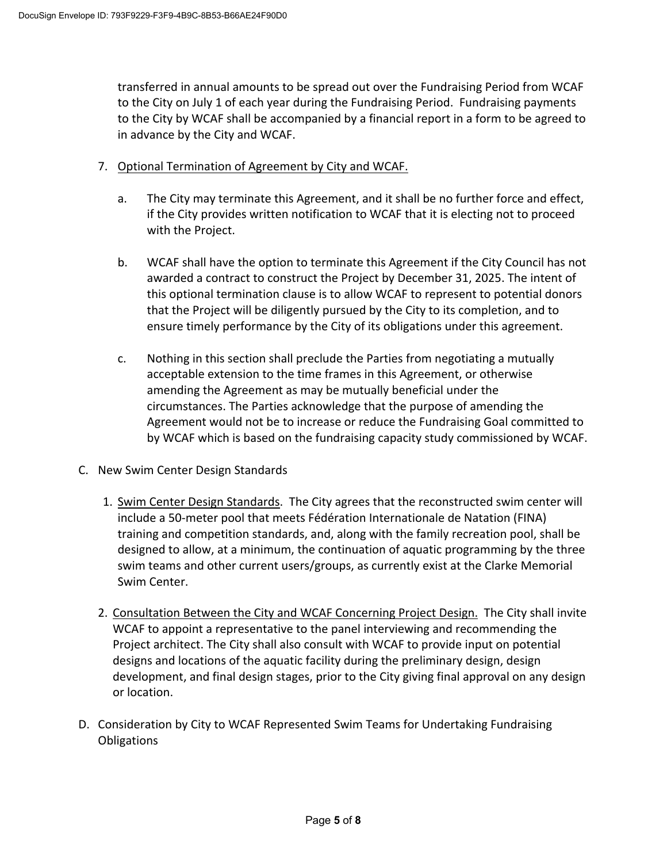transferred in annual amounts to be spread out over the Fundraising Period from WCAF to the City on July 1 of each year during the Fundraising Period. Fundraising payments to the City by WCAF shall be accompanied by a financial report in a form to be agreed to in advance by the City and WCAF.

- 7. Optional Termination of Agreement by City and WCAF.
	- a. The City may terminate this Agreement, and it shall be no further force and effect, if the City provides written notification to WCAF that it is electing not to proceed with the Project.
	- b. WCAF shall have the option to terminate this Agreement if the City Council has not awarded a contract to construct the Project by December 31, 2025. The intent of this optional termination clause is to allow WCAF to represent to potential donors that the Project will be diligently pursued by the City to its completion, and to ensure timely performance by the City of its obligations under this agreement.
	- c. Nothing in this section shall preclude the Parties from negotiating a mutually acceptable extension to the time frames in this Agreement, or otherwise amending the Agreement as may be mutually beneficial under the circumstances. The Parties acknowledge that the purpose of amending the Agreement would not be to increase or reduce the Fundraising Goal committed to by WCAF which is based on the fundraising capacity study commissioned by WCAF.
- C. New Swim Center Design Standards
	- 1. Swim Center Design Standards. The City agrees that the reconstructed swim center will include a 50-meter pool that meets Fédération Internationale de Natation (FINA) training and competition standards, and, along with the family recreation pool, shall be designed to allow, at a minimum, the continuation of aquatic programming by the three swim teams and other current users/groups, as currently exist at the Clarke Memorial Swim Center.
	- 2. Consultation Between the City and WCAF Concerning Project Design. The City shall invite WCAF to appoint a representative to the panel interviewing and recommending the Project architect. The City shall also consult with WCAF to provide input on potential designs and locations of the aquatic facility during the preliminary design, design development, and final design stages, prior to the City giving final approval on any design or location.
- D. Consideration by City to WCAF Represented Swim Teams for Undertaking Fundraising **Obligations**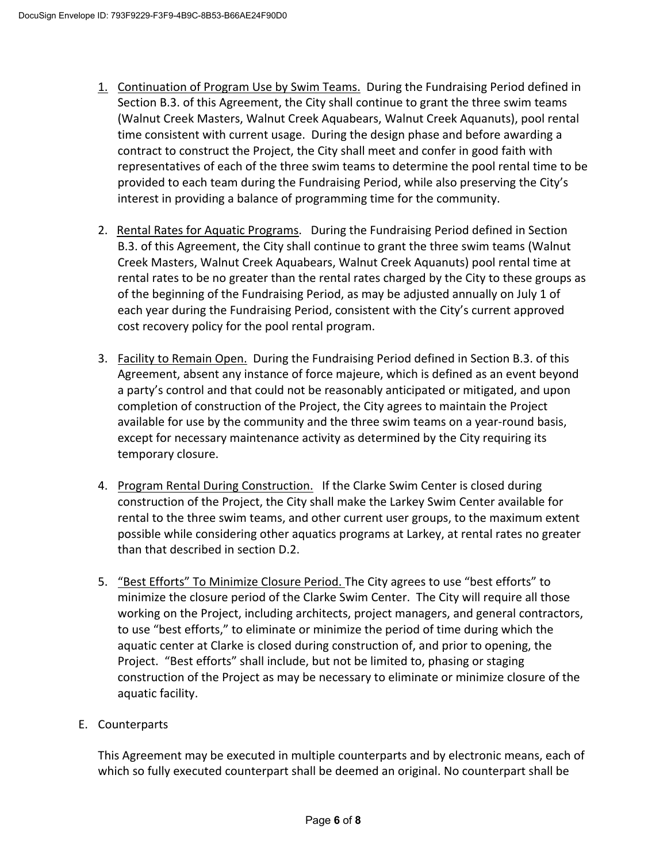- 1. Continuation of Program Use by Swim Teams. During the Fundraising Period defined in Section B.3. of this Agreement, the City shall continue to grant the three swim teams (Walnut Creek Masters, Walnut Creek Aquabears, Walnut Creek Aquanuts), pool rental time consistent with current usage. During the design phase and before awarding a contract to construct the Project, the City shall meet and confer in good faith with representatives of each of the three swim teams to determine the pool rental time to be provided to each team during the Fundraising Period, while also preserving the City's interest in providing a balance of programming time for the community.
- 2. Rental Rates for Aquatic Programs. During the Fundraising Period defined in Section B.3. of this Agreement, the City shall continue to grant the three swim teams (Walnut Creek Masters, Walnut Creek Aquabears, Walnut Creek Aquanuts) pool rental time at rental rates to be no greater than the rental rates charged by the City to these groups as of the beginning of the Fundraising Period, as may be adjusted annually on July 1 of each year during the Fundraising Period, consistent with the City's current approved cost recovery policy for the pool rental program.
- 3. Facility to Remain Open. During the Fundraising Period defined in Section B.3. of this Agreement, absent any instance of force majeure, which is defined as an event beyond a party's control and that could not be reasonably anticipated or mitigated, and upon completion of construction of the Project, the City agrees to maintain the Project available for use by the community and the three swim teams on a year-round basis, except for necessary maintenance activity as determined by the City requiring its temporary closure.
- 4. Program Rental During Construction. If the Clarke Swim Center is closed during construction of the Project, the City shall make the Larkey Swim Center available for rental to the three swim teams, and other current user groups, to the maximum extent possible while considering other aquatics programs at Larkey, at rental rates no greater than that described in section D.2.
- 5. "Best Efforts" To Minimize Closure Period. The City agrees to use "best efforts" to minimize the closure period of the Clarke Swim Center. The City will require all those working on the Project, including architects, project managers, and general contractors, to use "best efforts," to eliminate or minimize the period of time during which the aquatic center at Clarke is closed during construction of, and prior to opening, the Project. "Best efforts" shall include, but not be limited to, phasing or staging construction of the Project as may be necessary to eliminate or minimize closure of the aquatic facility.

# E. Counterparts

This Agreement may be executed in multiple counterparts and by electronic means, each of which so fully executed counterpart shall be deemed an original. No counterpart shall be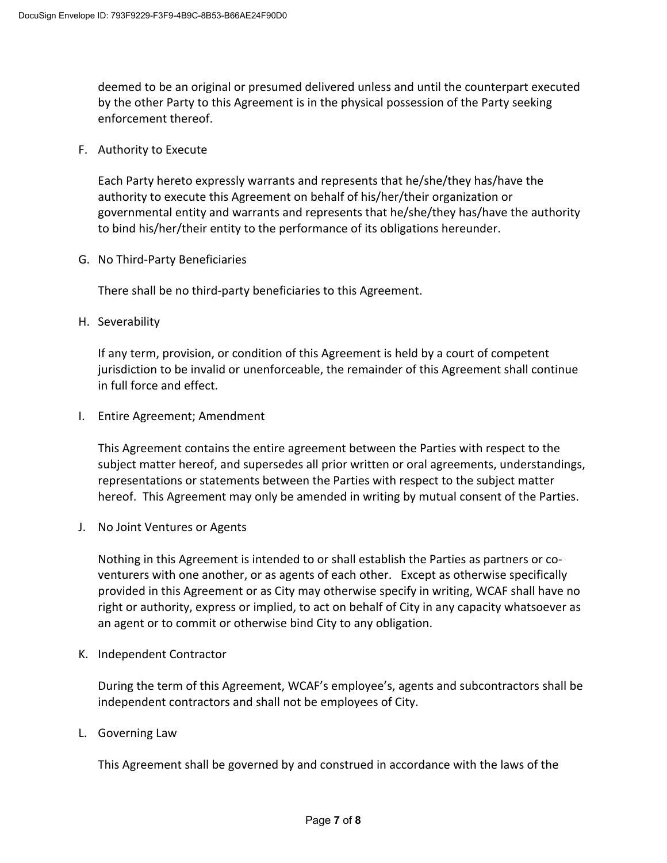deemed to be an original or presumed delivered unless and until the counterpart executed by the other Party to this Agreement is in the physical possession of the Party seeking enforcement thereof.

### F. Authority to Execute

Each Party hereto expressly warrants and represents that he/she/they has/have the authority to execute this Agreement on behalf of his/her/their organization or governmental entity and warrants and represents that he/she/they has/have the authority to bind his/her/their entity to the performance of its obligations hereunder.

G. No Third-Party Beneficiaries

There shall be no third-party beneficiaries to this Agreement.

H. Severability

If any term, provision, or condition of this Agreement is held by a court of competent jurisdiction to be invalid or unenforceable, the remainder of this Agreement shall continue in full force and effect.

I. Entire Agreement; Amendment

This Agreement contains the entire agreement between the Parties with respect to the subject matter hereof, and supersedes all prior written or oral agreements, understandings, representations or statements between the Parties with respect to the subject matter hereof. This Agreement may only be amended in writing by mutual consent of the Parties.

J. No Joint Ventures or Agents

Nothing in this Agreement is intended to or shall establish the Parties as partners or coventurers with one another, or as agents of each other. Except as otherwise specifically provided in this Agreement or as City may otherwise specify in writing, WCAF shall have no right or authority, express or implied, to act on behalf of City in any capacity whatsoever as an agent or to commit or otherwise bind City to any obligation.

K. Independent Contractor

During the term of this Agreement, WCAF's employee's, agents and subcontractors shall be independent contractors and shall not be employees of City.

L. Governing Law

This Agreement shall be governed by and construed in accordance with the laws of the